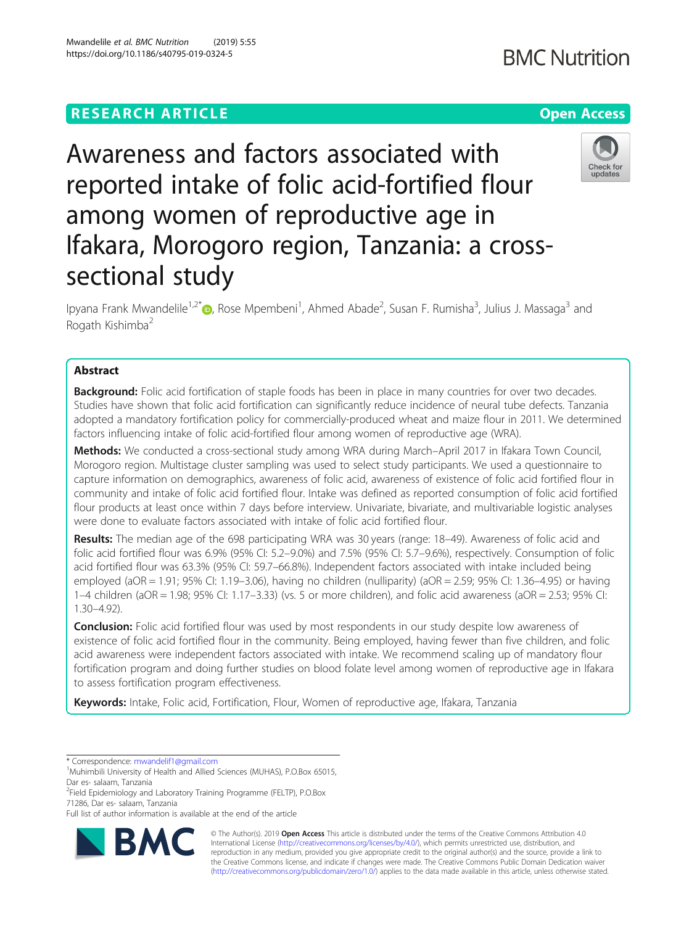## **RESEARCH ARTICLE Example 2014 12:30 The Contract of Contract ACCESS**

# Awareness and factors associated with reported intake of folic acid-fortified flour among women of reproductive age in Ifakara, Morogoro region, Tanzania: a crosssectional study

Ipyana Frank Mwandelile<sup>1,2\*</sup>®, Rose Mpembeni<sup>1</sup>, Ahmed Abade<sup>2</sup>, Susan F. Rumisha<sup>3</sup>, Julius J. Massaga<sup>3</sup> and Rogath Kishimba<sup>2</sup>

## Abstract

**Background:** Folic acid fortification of staple foods has been in place in many countries for over two decades. Studies have shown that folic acid fortification can significantly reduce incidence of neural tube defects. Tanzania adopted a mandatory fortification policy for commercially-produced wheat and maize flour in 2011. We determined factors influencing intake of folic acid-fortified flour among women of reproductive age (WRA).

Methods: We conducted a cross-sectional study among WRA during March–April 2017 in Ifakara Town Council, Morogoro region. Multistage cluster sampling was used to select study participants. We used a questionnaire to capture information on demographics, awareness of folic acid, awareness of existence of folic acid fortified flour in community and intake of folic acid fortified flour. Intake was defined as reported consumption of folic acid fortified flour products at least once within 7 days before interview. Univariate, bivariate, and multivariable logistic analyses were done to evaluate factors associated with intake of folic acid fortified flour.

Results: The median age of the 698 participating WRA was 30 years (range: 18–49). Awareness of folic acid and folic acid fortified flour was 6.9% (95% CI: 5.2–9.0%) and 7.5% (95% CI: 5.7–9.6%), respectively. Consumption of folic acid fortified flour was 63.3% (95% CI: 59.7–66.8%). Independent factors associated with intake included being employed (aOR = 1.91; 95% CI: 1.19–3.06), having no children (nulliparity) (aOR = 2.59; 95% CI: 1.36–4.95) or having 1–4 children (aOR = 1.98; 95% CI: 1.17–3.33) (vs. 5 or more children), and folic acid awareness (aOR = 2.53; 95% CI: 1.30–4.92).

**Conclusion:** Folic acid fortified flour was used by most respondents in our study despite low awareness of existence of folic acid fortified flour in the community. Being employed, having fewer than five children, and folic acid awareness were independent factors associated with intake. We recommend scaling up of mandatory flour fortification program and doing further studies on blood folate level among women of reproductive age in Ifakara to assess fortification program effectiveness.

Keywords: Intake, Folic acid, Fortification, Flour, Women of reproductive age, Ifakara, Tanzania

<sup>2</sup>Field Epidemiology and Laboratory Training Programme (FELTP), P.O.Box 71286, Dar es- salaam, Tanzania

© The Author(s). 2019 **Open Access** This article is distributed under the terms of the Creative Commons Attribution 4.0 International License [\(http://creativecommons.org/licenses/by/4.0/](http://creativecommons.org/licenses/by/4.0/)), which permits unrestricted use, distribution, and reproduction in any medium, provided you give appropriate credit to the original author(s) and the source, provide a link to the Creative Commons license, and indicate if changes were made. The Creative Commons Public Domain Dedication waiver [\(http://creativecommons.org/publicdomain/zero/1.0/](http://creativecommons.org/publicdomain/zero/1.0/)) applies to the data made available in this article, unless otherwise stated.

Mwandelile et al. BMC Nutrition (2019) 5:55 https://doi.org/10.1186/s40795-019-0324-5







<sup>\*</sup> Correspondence: [mwandelif1@gmail.com](mailto:mwandelif1@gmail.com) <sup>1</sup>

<sup>&</sup>lt;sup>1</sup>Muhimbili University of Health and Allied Sciences (MUHAS), P.O.Box 65015, Dar es- salaam, Tanzania

Full list of author information is available at the end of the article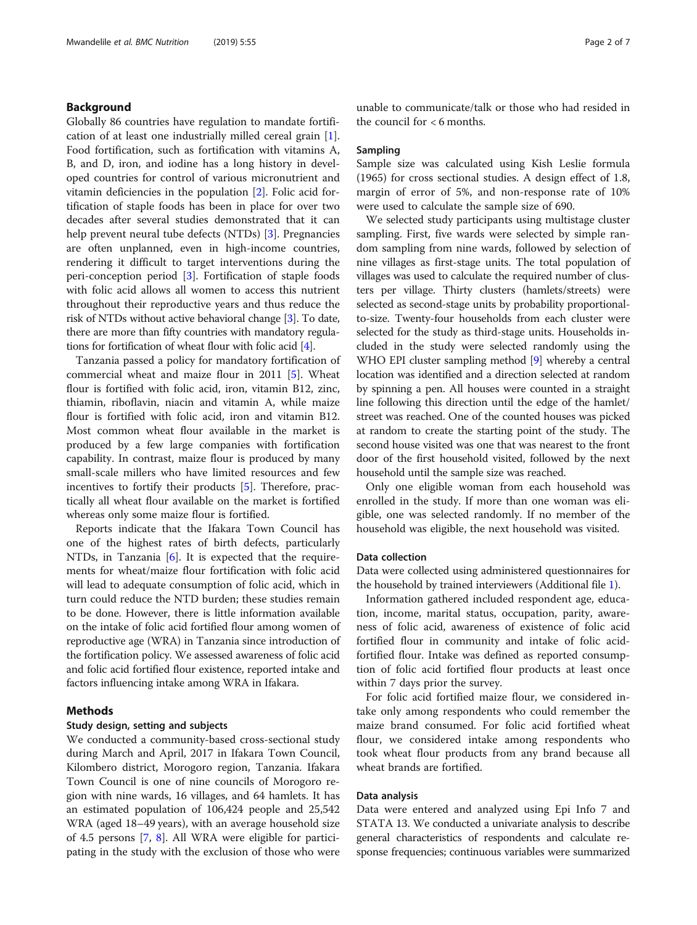## Background

Globally 86 countries have regulation to mandate fortification of at least one industrially milled cereal grain [\[1](#page-6-0)]. Food fortification, such as fortification with vitamins A, B, and D, iron, and iodine has a long history in developed countries for control of various micronutrient and vitamin deficiencies in the population [[2\]](#page-6-0). Folic acid fortification of staple foods has been in place for over two decades after several studies demonstrated that it can help prevent neural tube defects (NTDs) [[3\]](#page-6-0). Pregnancies are often unplanned, even in high-income countries, rendering it difficult to target interventions during the peri-conception period [\[3](#page-6-0)]. Fortification of staple foods with folic acid allows all women to access this nutrient throughout their reproductive years and thus reduce the risk of NTDs without active behavioral change [\[3](#page-6-0)]. To date, there are more than fifty countries with mandatory regulations for fortification of wheat flour with folic acid [[4\]](#page-6-0).

Tanzania passed a policy for mandatory fortification of commercial wheat and maize flour in 2011 [[5\]](#page-6-0). Wheat flour is fortified with folic acid, iron, vitamin B12, zinc, thiamin, riboflavin, niacin and vitamin A, while maize flour is fortified with folic acid, iron and vitamin B12. Most common wheat flour available in the market is produced by a few large companies with fortification capability. In contrast, maize flour is produced by many small-scale millers who have limited resources and few incentives to fortify their products [\[5](#page-6-0)]. Therefore, practically all wheat flour available on the market is fortified whereas only some maize flour is fortified.

Reports indicate that the Ifakara Town Council has one of the highest rates of birth defects, particularly NTDs, in Tanzania [[6\]](#page-6-0). It is expected that the requirements for wheat/maize flour fortification with folic acid will lead to adequate consumption of folic acid, which in turn could reduce the NTD burden; these studies remain to be done. However, there is little information available on the intake of folic acid fortified flour among women of reproductive age (WRA) in Tanzania since introduction of the fortification policy. We assessed awareness of folic acid and folic acid fortified flour existence, reported intake and factors influencing intake among WRA in Ifakara.

## Methods

## Study design, setting and subjects

We conducted a community-based cross-sectional study during March and April, 2017 in Ifakara Town Council, Kilombero district, Morogoro region, Tanzania. Ifakara Town Council is one of nine councils of Morogoro region with nine wards, 16 villages, and 64 hamlets. It has an estimated population of 106,424 people and 25,542 WRA (aged 18–49 years), with an average household size of 4.5 persons [[7](#page-6-0), [8](#page-6-0)]. All WRA were eligible for participating in the study with the exclusion of those who were

unable to communicate/talk or those who had resided in the council for < 6 months.

#### Sampling

Sample size was calculated using Kish Leslie formula (1965) for cross sectional studies. A design effect of 1.8, margin of error of 5%, and non-response rate of 10% were used to calculate the sample size of 690.

We selected study participants using multistage cluster sampling. First, five wards were selected by simple random sampling from nine wards, followed by selection of nine villages as first-stage units. The total population of villages was used to calculate the required number of clusters per village. Thirty clusters (hamlets/streets) were selected as second-stage units by probability proportionalto-size. Twenty-four households from each cluster were selected for the study as third-stage units. Households included in the study were selected randomly using the WHO EPI cluster sampling method [\[9\]](#page-6-0) whereby a central location was identified and a direction selected at random by spinning a pen. All houses were counted in a straight line following this direction until the edge of the hamlet/ street was reached. One of the counted houses was picked at random to create the starting point of the study. The second house visited was one that was nearest to the front door of the first household visited, followed by the next household until the sample size was reached.

Only one eligible woman from each household was enrolled in the study. If more than one woman was eligible, one was selected randomly. If no member of the household was eligible, the next household was visited.

### Data collection

Data were collected using administered questionnaires for the household by trained interviewers (Additional file [1](#page-5-0)).

Information gathered included respondent age, education, income, marital status, occupation, parity, awareness of folic acid, awareness of existence of folic acid fortified flour in community and intake of folic acidfortified flour. Intake was defined as reported consumption of folic acid fortified flour products at least once within 7 days prior the survey.

For folic acid fortified maize flour, we considered intake only among respondents who could remember the maize brand consumed. For folic acid fortified wheat flour, we considered intake among respondents who took wheat flour products from any brand because all wheat brands are fortified.

## Data analysis

Data were entered and analyzed using Epi Info 7 and STATA 13. We conducted a univariate analysis to describe general characteristics of respondents and calculate response frequencies; continuous variables were summarized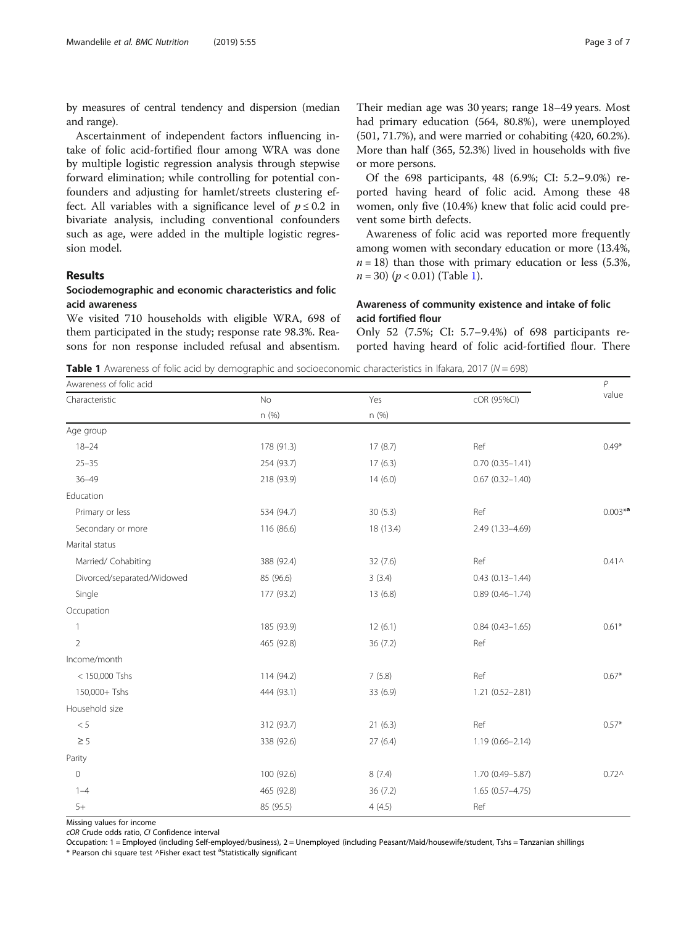by measures of central tendency and dispersion (median and range).

Ascertainment of independent factors influencing intake of folic acid-fortified flour among WRA was done by multiple logistic regression analysis through stepwise forward elimination; while controlling for potential confounders and adjusting for hamlet/streets clustering effect. All variables with a significance level of  $p \le 0.2$  in bivariate analysis, including conventional confounders such as age, were added in the multiple logistic regression model.

## Results

## Sociodemographic and economic characteristics and folic acid awareness

We visited 710 households with eligible WRA, 698 of them participated in the study; response rate 98.3%. Reasons for non response included refusal and absentism.

Their median age was 30 years; range 18–49 years. Most had primary education (564, 80.8%), were unemployed (501, 71.7%), and were married or cohabiting (420, 60.2%). More than half (365, 52.3%) lived in households with five or more persons.

Of the 698 participants, 48 (6.9%; CI: 5.2–9.0%) reported having heard of folic acid. Among these 48 women, only five (10.4%) knew that folic acid could prevent some birth defects.

Awareness of folic acid was reported more frequently among women with secondary education or more (13.4%,  $n = 18$ ) than those with primary education or less (5.3%,  $n = 30$ ) ( $p < 0.01$ ) (Table 1).

## Awareness of community existence and intake of folic acid fortified flour

Only 52 (7.5%; CI: 5.7–9.4%) of 698 participants reported having heard of folic acid-fortified flour. There

**Table 1** Awareness of folic acid by demographic and socioeconomic characteristics in Ifakara, 2017 ( $N = 698$ )

| Awareness of folic acid    |            |           |                        |                   |
|----------------------------|------------|-----------|------------------------|-------------------|
| Characteristic             | No         | Yes       | cOR (95%CI)            | value             |
|                            | n (%)      | n (%)     |                        |                   |
| Age group                  |            |           |                        |                   |
| $18 - 24$                  | 178 (91.3) | 17(8.7)   | Ref                    | $0.49*$           |
| $25 - 35$                  | 254 (93.7) | 17(6.3)   | $0.70(0.35 - 1.41)$    |                   |
| $36 - 49$                  | 218 (93.9) | 14(6.0)   | $0.67$ $(0.32 - 1.40)$ |                   |
| Education                  |            |           |                        |                   |
| Primary or less            | 534 (94.7) | 30(5.3)   | Ref                    | $0.003*$ a        |
| Secondary or more          | 116 (86.6) | 18 (13.4) | 2.49 (1.33-4.69)       |                   |
| Marital status             |            |           |                        |                   |
| Married/ Cohabiting        | 388 (92.4) | 32(7.6)   | Ref                    | $0.41 \wedge$     |
| Divorced/separated/Widowed | 85 (96.6)  | 3(3.4)    | $0.43(0.13 - 1.44)$    |                   |
| Single                     | 177 (93.2) | 13 (6.8)  | $0.89(0.46 - 1.74)$    |                   |
| Occupation                 |            |           |                        |                   |
|                            | 185 (93.9) | 12(6.1)   | $0.84(0.43 - 1.65)$    | $0.61*$           |
| $\overline{2}$             | 465 (92.8) | 36 (7.2)  | Ref                    |                   |
| Income/month               |            |           |                        |                   |
| < 150,000 Tshs             | 114 (94.2) | 7(5.8)    | Ref                    | $0.67*$           |
| 150,000+ Tshs              | 444 (93.1) | 33 (6.9)  | $1.21(0.52 - 2.81)$    |                   |
| Household size             |            |           |                        |                   |
| $< 5\,$                    | 312 (93.7) | 21(6.3)   | Ref                    | $0.57*$           |
| $\geq$ 5                   | 338 (92.6) | 27(6.4)   | $1.19(0.66 - 2.14)$    |                   |
| Parity                     |            |           |                        |                   |
| $\mathbf 0$                | 100 (92.6) | 8(7.4)    | 1.70 (0.49-5.87)       | 0.72 <sub>0</sub> |
| $1 - 4$                    | 465 (92.8) | 36(7.2)   | $1.65(0.57 - 4.75)$    |                   |
| $5+$                       | 85 (95.5)  | 4(4.5)    | Ref                    |                   |

Missing values for income

cOR Crude odds ratio, CI Confidence interval

Occupation: 1 = Employed (including Self-employed/business), 2 = Unemployed (including Peasant/Maid/housewife/student, Tshs = Tanzanian shillings

\* Pearson chi square test ^Fisher exact test <sup>a</sup>Statistically significant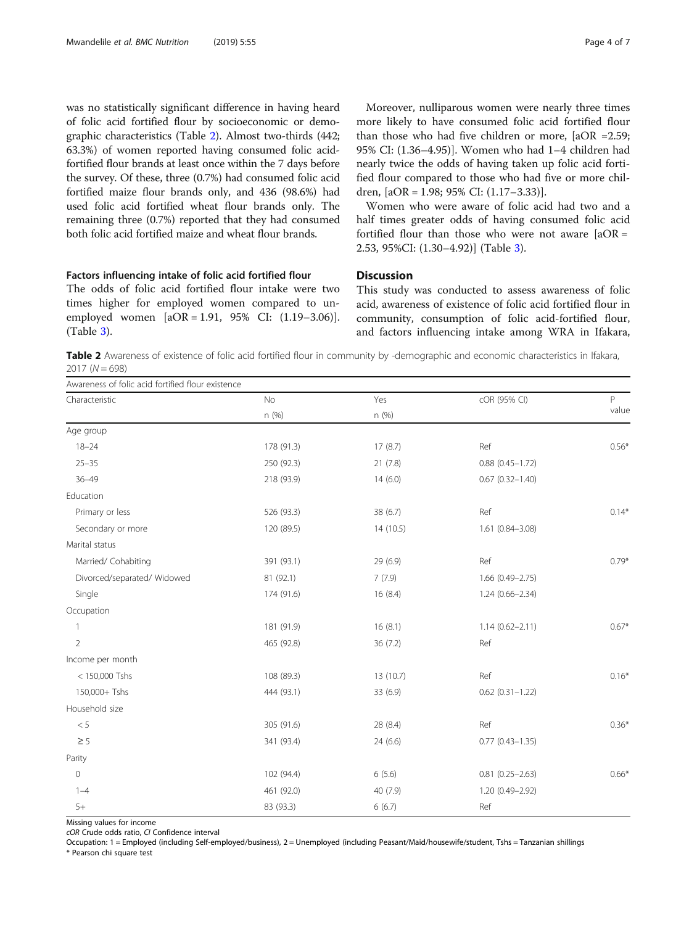was no statistically significant difference in having heard of folic acid fortified flour by socioeconomic or demographic characteristics (Table 2). Almost two-thirds (442; 63.3%) of women reported having consumed folic acidfortified flour brands at least once within the 7 days before the survey. Of these, three (0.7%) had consumed folic acid fortified maize flour brands only, and 436 (98.6%) had used folic acid fortified wheat flour brands only. The remaining three (0.7%) reported that they had consumed both folic acid fortified maize and wheat flour brands.

## Factors influencing intake of folic acid fortified flour

The odds of folic acid fortified flour intake were two times higher for employed women compared to unemployed women [aOR = 1.91, 95% CI: (1.19–3.06)]. (Table [3\)](#page-4-0).

Moreover, nulliparous women were nearly three times more likely to have consumed folic acid fortified flour than those who had five children or more,  $[aOR = 2.59;$ 95% CI: (1.36–4.95)]. Women who had 1–4 children had nearly twice the odds of having taken up folic acid fortified flour compared to those who had five or more children, [aOR = 1.98; 95% CI: (1.17–3.33)].

Women who were aware of folic acid had two and a half times greater odds of having consumed folic acid fortified flour than those who were not aware  $[aOR =$ 2.53, 95%CI: (1.30–4.92)] (Table [3\)](#page-4-0).

## **Discussion**

This study was conducted to assess awareness of folic acid, awareness of existence of folic acid fortified flour in community, consumption of folic acid-fortified flour, and factors influencing intake among WRA in Ifakara,

Table 2 Awareness of existence of folic acid fortified flour in community by -demographic and economic characteristics in Ifakara,  $2017 (N = 698)$ 

| Awareness of folic acid fortified flour existence |            |          |                        |         |  |
|---------------------------------------------------|------------|----------|------------------------|---------|--|
| Characteristic                                    | No         | Yes      | cOR (95% CI)           | P       |  |
|                                                   | n (%)      | n(%)     |                        | value   |  |
| Age group                                         |            |          |                        |         |  |
| $18 - 24$                                         | 178 (91.3) | 17(8.7)  | Ref                    | $0.56*$ |  |
| $25 - 35$                                         | 250 (92.3) | 21(7.8)  | $0.88$ $(0.45 - 1.72)$ |         |  |
| $36 - 49$                                         | 218 (93.9) | 14(6.0)  | $0.67$ $(0.32 - 1.40)$ |         |  |
| Education                                         |            |          |                        |         |  |
| Primary or less                                   | 526 (93.3) | 38 (6.7) | Ref                    | $0.14*$ |  |
| Secondary or more                                 | 120 (89.5) | 14(10.5) | $1.61(0.84 - 3.08)$    |         |  |
| Marital status                                    |            |          |                        |         |  |
| Married/ Cohabiting                               | 391 (93.1) | 29 (6.9) | Ref                    | $0.79*$ |  |
| Divorced/separated/ Widowed                       | 81 (92.1)  | 7(7.9)   | $1.66(0.49 - 2.75)$    |         |  |
| Single                                            | 174 (91.6) | 16(8.4)  | $1.24(0.66 - 2.34)$    |         |  |
| Occupation                                        |            |          |                        |         |  |
| 1                                                 | 181 (91.9) | 16(8.1)  | $1.14(0.62 - 2.11)$    | $0.67*$ |  |
| $\overline{2}$                                    | 465 (92.8) | 36(7.2)  | Ref                    |         |  |
| Income per month                                  |            |          |                        |         |  |
| < 150,000 Tshs                                    | 108 (89.3) | 13(10.7) | Ref                    | $0.16*$ |  |
| 150,000+ Tshs                                     | 444 (93.1) | 33 (6.9) | $0.62$ $(0.31 - 1.22)$ |         |  |
| Household size                                    |            |          |                        |         |  |
| $< 5\,$                                           | 305 (91.6) | 28 (8.4) | Ref                    | $0.36*$ |  |
| $\geq$ 5                                          | 341 (93.4) | 24(6.6)  | $0.77$ $(0.43 - 1.35)$ |         |  |
| Parity                                            |            |          |                        |         |  |
| $\mathbf 0$                                       | 102 (94.4) | 6(5.6)   | $0.81(0.25 - 2.63)$    | $0.66*$ |  |
| $1 - 4$                                           | 461 (92.0) | 40 (7.9) | 1.20 (0.49-2.92)       |         |  |
| $5+$                                              | 83 (93.3)  | 6(6.7)   | Ref                    |         |  |

Missing values for income

cOR Crude odds ratio, CI Confidence interval

Occupation: 1 = Employed (including Self-employed/business), 2 = Unemployed (including Peasant/Maid/housewife/student, Tshs = Tanzanian shillings \* Pearson chi square test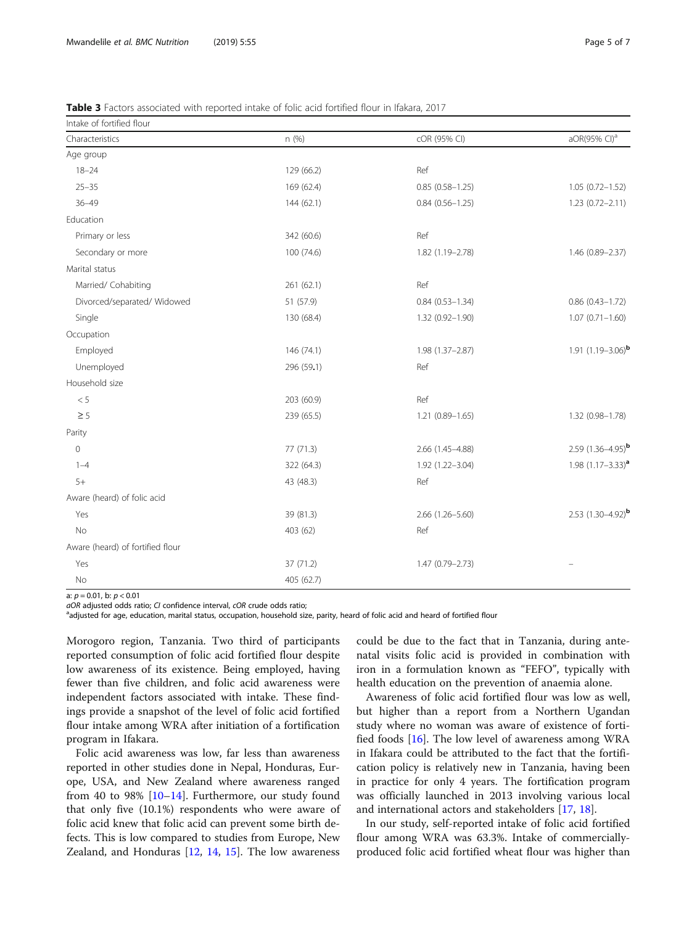<span id="page-4-0"></span>

| <b>Table 3</b> Factors associated with reported intake of folic acid fortified flour in Ifakara, 2017 |  |
|-------------------------------------------------------------------------------------------------------|--|
|-------------------------------------------------------------------------------------------------------|--|

Intake of fortified flour

| Intake of fortified flour        |            |                        |                          |
|----------------------------------|------------|------------------------|--------------------------|
| Characteristics                  | n(%)       | cOR (95% CI)           | aOR(95% CI) <sup>a</sup> |
| Age group                        |            |                        |                          |
| $18 - 24$                        | 129 (66.2) | Ref                    |                          |
| $25 - 35$                        | 169 (62.4) | $0.85(0.58 - 1.25)$    | $1.05(0.72 - 1.52)$      |
| $36 - 49$                        | 144 (62.1) | $0.84(0.56 - 1.25)$    | 1.23 (0.72-2.11)         |
| Education                        |            |                        |                          |
| Primary or less                  | 342 (60.6) | Ref                    |                          |
| Secondary or more                | 100 (74.6) | 1.82 (1.19-2.78)       | 1.46 (0.89-2.37)         |
| Marital status                   |            |                        |                          |
| Married/ Cohabiting              | 261 (62.1) | Ref                    |                          |
| Divorced/separated/ Widowed      | 51 (57.9)  | $0.84$ $(0.53 - 1.34)$ | $0.86$ $(0.43 - 1.72)$   |
| Single                           | 130 (68.4) | $1.32(0.92 - 1.90)$    | $1.07(0.71 - 1.60)$      |
| Occupation                       |            |                        |                          |
| Employed                         | 146 (74.1) | 1.98 (1.37-2.87)       | 1.91 $(1.19 - 3.06)^{b}$ |
| Unemployed                       | 296 (59.1) | Ref                    |                          |
| Household size                   |            |                        |                          |
| < 5                              | 203 (60.9) | Ref                    |                          |
| $\geq$ 5                         | 239 (65.5) | $1.21(0.89 - 1.65)$    | 1.32 (0.98-1.78)         |
| Parity                           |            |                        |                          |
| $\Omega$                         | 77 (71.3)  | 2.66 (1.45-4.88)       | 2.59 $(1.36 - 4.95)^{b}$ |
| $1 - 4$                          | 322 (64.3) | 1.92 (1.22-3.04)       | 1.98 $(1.17 - 3.33)^{a}$ |
| $5+$                             | 43 (48.3)  | Ref                    |                          |
| Aware (heard) of folic acid      |            |                        |                          |
| Yes                              | 39 (81.3)  | 2.66 (1.26-5.60)       | 2.53 $(1.30-4.92)^{b}$   |
| <b>No</b>                        | 403 (62)   | Ref                    |                          |
| Aware (heard) of fortified flour |            |                        |                          |
| Yes                              | 37 (71.2)  | $1.47(0.79 - 2.73)$    |                          |
| No                               | 405 (62.7) |                        |                          |

a:  $p = 0.01$ , b:  $p < 0.01$ 

aOR adjusted odds ratio; CI confidence interval, cOR crude odds ratio;

<sup>a</sup>adjusted for age, education, marital status, occupation, household size, parity, heard of folic acid and heard of fortified flour

Morogoro region, Tanzania. Two third of participants reported consumption of folic acid fortified flour despite low awareness of its existence. Being employed, having fewer than five children, and folic acid awareness were independent factors associated with intake. These findings provide a snapshot of the level of folic acid fortified flour intake among WRA after initiation of a fortification program in Ifakara.

Folic acid awareness was low, far less than awareness reported in other studies done in Nepal, Honduras, Europe, USA, and New Zealand where awareness ranged from 40 to 98% [[10](#page-6-0)–[14\]](#page-6-0). Furthermore, our study found that only five (10.1%) respondents who were aware of folic acid knew that folic acid can prevent some birth defects. This is low compared to studies from Europe, New Zealand, and Honduras [\[12,](#page-6-0) [14,](#page-6-0) [15](#page-6-0)]. The low awareness

could be due to the fact that in Tanzania, during antenatal visits folic acid is provided in combination with iron in a formulation known as "FEFO", typically with health education on the prevention of anaemia alone.

Awareness of folic acid fortified flour was low as well, but higher than a report from a Northern Ugandan study where no woman was aware of existence of fortified foods [[16](#page-6-0)]. The low level of awareness among WRA in Ifakara could be attributed to the fact that the fortification policy is relatively new in Tanzania, having been in practice for only 4 years. The fortification program was officially launched in 2013 involving various local and international actors and stakeholders [\[17,](#page-6-0) [18\]](#page-6-0).

In our study, self-reported intake of folic acid fortified flour among WRA was 63.3%. Intake of commerciallyproduced folic acid fortified wheat flour was higher than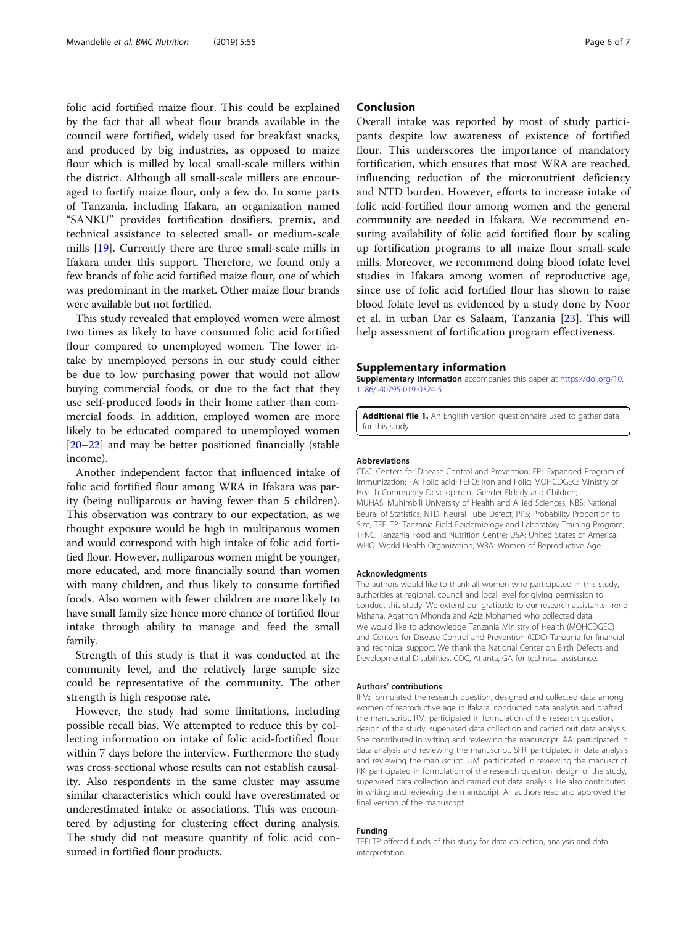<span id="page-5-0"></span>folic acid fortified maize flour. This could be explained by the fact that all wheat flour brands available in the council were fortified, widely used for breakfast snacks, and produced by big industries, as opposed to maize flour which is milled by local small-scale millers within the district. Although all small-scale millers are encouraged to fortify maize flour, only a few do. In some parts of Tanzania, including Ifakara, an organization named "SANKU" provides fortification dosifiers, premix, and technical assistance to selected small- or medium-scale mills [\[19](#page-6-0)]. Currently there are three small-scale mills in Ifakara under this support. Therefore, we found only a few brands of folic acid fortified maize flour, one of which was predominant in the market. Other maize flour brands were available but not fortified.

This study revealed that employed women were almost two times as likely to have consumed folic acid fortified flour compared to unemployed women. The lower intake by unemployed persons in our study could either be due to low purchasing power that would not allow buying commercial foods, or due to the fact that they use self-produced foods in their home rather than commercial foods. In addition, employed women are more likely to be educated compared to unemployed women [[20](#page-6-0)–[22](#page-6-0)] and may be better positioned financially (stable income).

Another independent factor that influenced intake of folic acid fortified flour among WRA in Ifakara was parity (being nulliparous or having fewer than 5 children). This observation was contrary to our expectation, as we thought exposure would be high in multiparous women and would correspond with high intake of folic acid fortified flour. However, nulliparous women might be younger, more educated, and more financially sound than women with many children, and thus likely to consume fortified foods. Also women with fewer children are more likely to have small family size hence more chance of fortified flour intake through ability to manage and feed the small family.

Strength of this study is that it was conducted at the community level, and the relatively large sample size could be representative of the community. The other strength is high response rate.

However, the study had some limitations, including possible recall bias. We attempted to reduce this by collecting information on intake of folic acid-fortified flour within 7 days before the interview. Furthermore the study was cross-sectional whose results can not establish causality. Also respondents in the same cluster may assume similar characteristics which could have overestimated or underestimated intake or associations. This was encountered by adjusting for clustering effect during analysis. The study did not measure quantity of folic acid consumed in fortified flour products.

## Conclusion

Overall intake was reported by most of study participants despite low awareness of existence of fortified flour. This underscores the importance of mandatory fortification, which ensures that most WRA are reached, influencing reduction of the micronutrient deficiency and NTD burden. However, efforts to increase intake of folic acid-fortified flour among women and the general community are needed in Ifakara. We recommend ensuring availability of folic acid fortified flour by scaling up fortification programs to all maize flour small-scale mills. Moreover, we recommend doing blood folate level studies in Ifakara among women of reproductive age, since use of folic acid fortified flour has shown to raise blood folate level as evidenced by a study done by Noor et al. in urban Dar es Salaam, Tanzania [\[23](#page-6-0)]. This will help assessment of fortification program effectiveness.

## Supplementary information

Supplementary information accompanies this paper at [https://doi.org/10.](https://doi.org/10.1186/s40795-019-0324-5) [1186/s40795-019-0324-5.](https://doi.org/10.1186/s40795-019-0324-5)

Additional file 1. An English version questionnaire used to gather data for this study.

#### Abbreviations

CDC: Centers for Disease Control and Prevention; EPI: Expanded Program of Immunization; FA: Folic acid; FEFO: Iron and Folic; MOHCDGEC: Ministry of Health Community Development Gender Elderly and Children; MUHAS: Muhimbili University of Health and Allied Sciences; NBS: National Beural of Statistics; NTD: Neural Tube Defect; PPS: Probability Proportion to Size; TFELTP: Tanzania Field Epidemiology and Laboratory Training Program; TFNC: Tanzania Food and Nutrition Centre; USA: United States of America; WHO: World Health Organization; WRA: Women of Reproductive Age

#### Acknowledgments

The authors would like to thank all women who participated in this study, authorities at regional, council and local level for giving permission to conduct this study. We extend our gratitude to our research assistants- Irene Mshana, Agathon Mhonda and Aziz Mohamed who collected data. We would like to acknowledge Tanzania Ministry of Health (MOHCDGEC) and Centers for Disease Control and Prevention (CDC) Tanzania for financial and technical support. We thank the National Center on Birth Defects and Developmental Disabilities, CDC, Atlanta, GA for technical assistance.

#### Authors' contributions

IFM: formulated the research question, designed and collected data among women of reproductive age in Ifakara, conducted data analysis and drafted the manuscript. RM: participated in formulation of the research question, design of the study, supervised data collection and carried out data analysis. She contributed in writing and reviewing the manuscript. AA: participated in data analysis and reviewing the manuscript. SFR: participated in data analysis and reviewing the manuscript. JJM: participated in reviewing the manuscript. RK: participated in formulation of the research question, design of the study, supervised data collection and carried out data analysis. He also contributed in writing and reviewing the manuscript. All authors read and approved the final version of the manuscript.

#### Funding

TFELTP offered funds of this study for data collection, analysis and data interpretation.